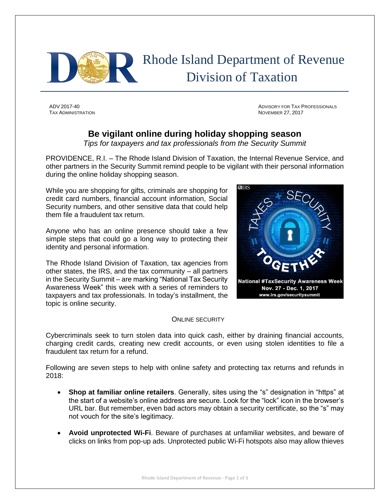

 Rhode Island Department of Revenue Division of Taxation

TAX ADMINISTRATION NOVEMBER 27, 2017

ADV 2017-40 ADVISORY FOR TAX PROFESSIONALS

## **Be vigilant online during holiday shopping season**

*Tips for taxpayers and tax professionals from the Security Summit*

PROVIDENCE, R.I. – The Rhode Island Division of Taxation, the Internal Revenue Service, and other partners in the Security Summit remind people to be vigilant with their personal information during the online holiday shopping season.

While you are shopping for gifts, criminals are shopping for credit card numbers, financial account information, Social Security numbers, and other sensitive data that could help them file a fraudulent tax return.

Anyone who has an online presence should take a few simple steps that could go a long way to protecting their identity and personal information.

The Rhode Island Division of Taxation, tax agencies from other states, the IRS, and the tax community – all partners in the Security Summit – are marking "National Tax Security Awareness Week" this week with a series of reminders to taxpayers and tax professionals. In today's installment, the topic is online security.



## ONLINE SECURITY

Cybercriminals seek to turn stolen data into quick cash, either by draining financial accounts, charging credit cards, creating new credit accounts, or even using stolen identities to file a fraudulent tax return for a refund.

Following are seven steps to help with online safety and protecting tax returns and refunds in 2018:

- **Shop at familiar online retailers**. Generally, sites using the "s" designation in "https" at the start of a website's online address are secure. Look for the "lock" icon in the browser's URL bar. But remember, even bad actors may obtain a security certificate, so the "s" may not vouch for the site's legitimacy.
- **Avoid unprotected Wi-Fi**. Beware of purchases at unfamiliar websites, and beware of clicks on links from pop-up ads. Unprotected public Wi-Fi hotspots also may allow thieves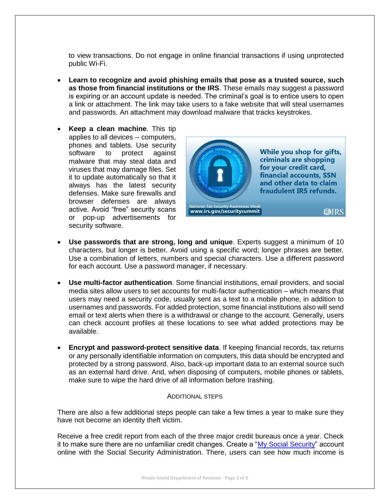to view transactions. Do not engage in online financial transactions if using unprotected public Wi-Fi.

- **Learn to recognize and avoid phishing emails that pose as a trusted source, such as those from financial institutions or the IRS**. These emails may suggest a password is expiring or an account update is needed. The criminal's goal is to entice users to open a link or attachment. The link may take users to a fake website that will steal usernames and passwords. An attachment may download malware that tracks keystrokes.
- **Keep a clean machine**. This tip applies to all devices -- computers, phones and tablets. Use security software to protect against malware that may steal data and viruses that may damage files. Set it to update automatically so that it always has the latest security defenses. Make sure firewalls and browser defenses are always active. Avoid "free" security scans or pop-up advertisements for security software.



- **Use passwords that are strong, long and unique**. Experts suggest a minimum of 10 characters, but longer is better. Avoid using a specific word; longer phrases are better. Use a combination of letters, numbers and special characters. Use a different password for each account. Use a password manager, if necessary.
- **Use multi-factor authentication**. Some financial institutions, email providers, and social media sites allow users to set accounts for multi-factor authentication – which means that users may need a security code, usually sent as a text to a mobile phone, in addition to usernames and passwords. For added protection, some financial institutions also will send email or text alerts when there is a withdrawal or change to the account. Generally, users can check account profiles at these locations to see what added protections may be available.
- **Encrypt and password-protect sensitive data**. If keeping financial records, tax returns or any personally identifiable information on computers, this data should be encrypted and protected by a strong password. Also, back-up important data to an external source such as an external hard drive. And, when disposing of computers, mobile phones or tablets, make sure to wipe the hard drive of all information before trashing.

## ADDITIONAL STEPS

There are also a few additional steps people can take a few times a year to make sure they have not become an identity theft victim.

Receive a free credit report from each of the three major credit bureaus once a year. Check it to make sure there are no unfamiliar credit changes. Create a ["My Social Security"](https://www.ssa.gov/myaccount/) account online with the Social Security Administration. There, users can see how much income is